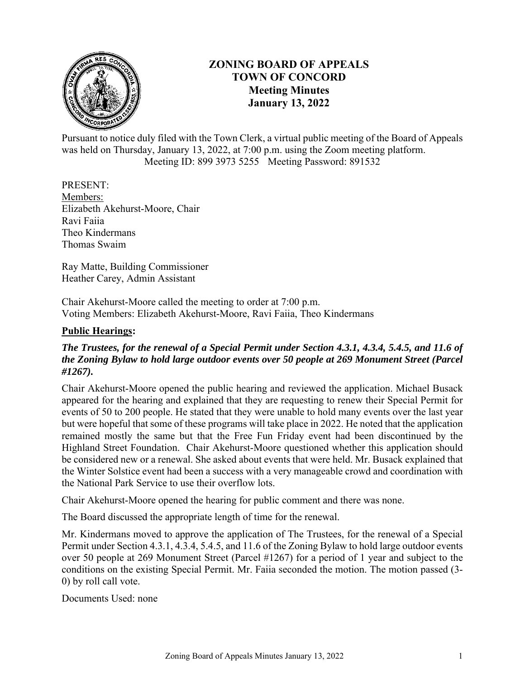

# **ZONING BOARD OF APPEALS TOWN OF CONCORD Meeting Minutes January 13, 2022**

Pursuant to notice duly filed with the Town Clerk, a virtual public meeting of the Board of Appeals was held on Thursday, January 13, 2022, at 7:00 p.m. using the Zoom meeting platform. Meeting ID: 899 3973 5255 Meeting Password: 891532

## PRESENT:

Members: Elizabeth Akehurst-Moore, Chair Ravi Faiia Theo Kindermans Thomas Swaim

Ray Matte, Building Commissioner Heather Carey, Admin Assistant

Chair Akehurst-Moore called the meeting to order at 7:00 p.m. Voting Members: Elizabeth Akehurst-Moore, Ravi Faiia, Theo Kindermans

## **Public Hearings:**

# *The Trustees, for the renewal of a Special Permit under Section 4.3.1, 4.3.4, 5.4.5, and 11.6 of the Zoning Bylaw to hold large outdoor events over 50 people at 269 Monument Street (Parcel #1267).*

Chair Akehurst-Moore opened the public hearing and reviewed the application. Michael Busack appeared for the hearing and explained that they are requesting to renew their Special Permit for events of 50 to 200 people. He stated that they were unable to hold many events over the last year but were hopeful that some of these programs will take place in 2022. He noted that the application remained mostly the same but that the Free Fun Friday event had been discontinued by the Highland Street Foundation. Chair Akehurst-Moore questioned whether this application should be considered new or a renewal. She asked about events that were held. Mr. Busack explained that the Winter Solstice event had been a success with a very manageable crowd and coordination with the National Park Service to use their overflow lots.

Chair Akehurst-Moore opened the hearing for public comment and there was none.

The Board discussed the appropriate length of time for the renewal.

Mr. Kindermans moved to approve the application of The Trustees, for the renewal of a Special Permit under Section 4.3.1, 4.3.4, 5.4.5, and 11.6 of the Zoning Bylaw to hold large outdoor events over 50 people at 269 Monument Street (Parcel #1267) for a period of 1 year and subject to the conditions on the existing Special Permit. Mr. Faiia seconded the motion. The motion passed (3- 0) by roll call vote.

Documents Used: none